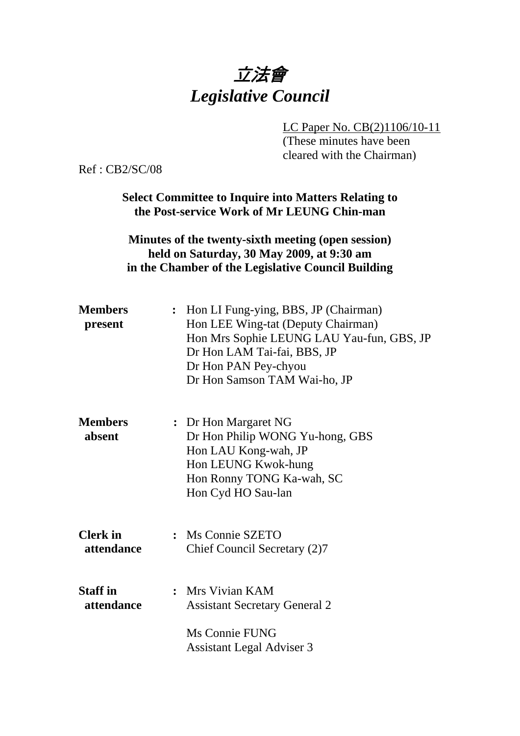## 立法會 *Legislative Council*

LC Paper No. CB(2)1106/10-11

(These minutes have been cleared with the Chairman)

Ref : CB2/SC/08

**Select Committee to Inquire into Matters Relating to the Post-service Work of Mr LEUNG Chin-man** 

**Minutes of the twenty-sixth meeting (open session) held on Saturday, 30 May 2009, at 9:30 am in the Chamber of the Legislative Council Building** 

| <b>Members</b><br>present     | : Hon LI Fung-ying, BBS, JP (Chairman)<br>Hon LEE Wing-tat (Deputy Chairman)<br>Hon Mrs Sophie LEUNG LAU Yau-fun, GBS, JP<br>Dr Hon LAM Tai-fai, BBS, JP<br>Dr Hon PAN Pey-chyou<br>Dr Hon Samson TAM Wai-ho, JP |
|-------------------------------|------------------------------------------------------------------------------------------------------------------------------------------------------------------------------------------------------------------|
| <b>Members</b><br>absent      | : Dr Hon Margaret NG<br>Dr Hon Philip WONG Yu-hong, GBS<br>Hon LAU Kong-wah, JP<br>Hon LEUNG Kwok-hung<br>Hon Ronny TONG Ka-wah, SC<br>Hon Cyd HO Sau-lan                                                        |
| <b>Clerk</b> in<br>attendance | : Ms Connie SZETO<br>Chief Council Secretary (2)7                                                                                                                                                                |
| <b>Staff</b> in<br>attendance | : Mrs Vivian KAM<br><b>Assistant Secretary General 2</b><br>Ms Connie FUNG<br><b>Assistant Legal Adviser 3</b>                                                                                                   |